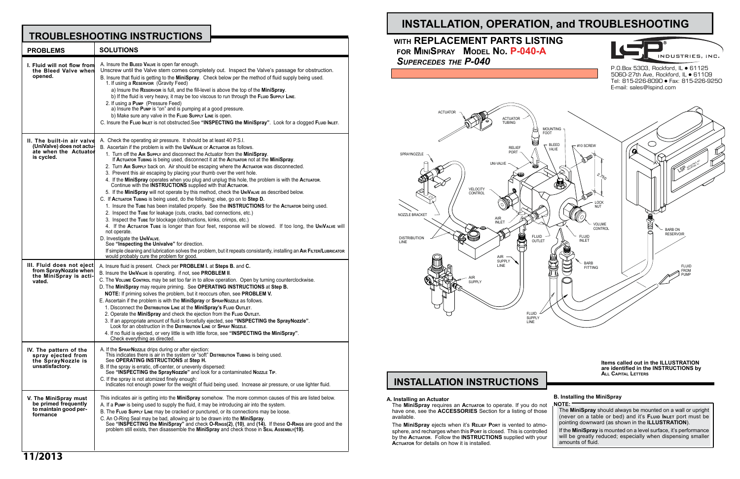**Items called out in the ILLUSTRATION are identified in the INSTRUCTIONS by All Capital Letters**

#### **B. Installing the MiniSpray NOTE:**

The **MiniSpray** should always be mounted on a wall or upright (never on a table or bed) and it's **Fluid Inlet** port must be pointing downward (as shown in the **ILLUSTRATION**).

If the **MiniSpray** is mounted on a level surface, it's performance will be greatly reduced; especially when dispensing smaller amounts of fluid.

# **INSTALLATION, OPERATION, and TROUBLESHOOTING**

# **INSTALLATION INSTRUCTIONS**

#### **A. Installing an Actuator**

The **MiniSpray** requires an **Actuator** to operate. If you do not have one, see the **ACCESSORIES** Section for a listing of those available.

The **MiniSpray** ejects when it's **Relief Port** is vented to atmosphere, and recharges when this **Port** is closed. This is controlled by the **Actuator**. Follow the **INSTRUCTIONS** supplied with your **Actuator** for details on how it is installed.

# **TROUBLESHOOTING INSTRUCTIONS**

P.O.Box 5303, Rockford, IL ● 61125 5060-27th Ave, Rockford, IL • 61109 Tel: 815-226-8090 Fax: 815-226-9250 E-mail: sales@lspind.com

| <b>PROBLEMS</b>                                                                                | <b>SOLUTIONS</b>                                                                                                                                                                                                                                                                                                                                                                                                                                                                                                                                                                                                                                                                                                                                                                                                                                                                                                                                                                                                                                                                                                                                                                                                                                                                                                                                                                                                                                                                                    |
|------------------------------------------------------------------------------------------------|-----------------------------------------------------------------------------------------------------------------------------------------------------------------------------------------------------------------------------------------------------------------------------------------------------------------------------------------------------------------------------------------------------------------------------------------------------------------------------------------------------------------------------------------------------------------------------------------------------------------------------------------------------------------------------------------------------------------------------------------------------------------------------------------------------------------------------------------------------------------------------------------------------------------------------------------------------------------------------------------------------------------------------------------------------------------------------------------------------------------------------------------------------------------------------------------------------------------------------------------------------------------------------------------------------------------------------------------------------------------------------------------------------------------------------------------------------------------------------------------------------|
| I. Fluid will not flow from<br>the Bleed Valve when<br>opened.                                 | A. Insure the BLEED VALVE is open far enough.<br>Unscrew until the Valve stem comes completely out. Inspect the Valve's passage for obstruction.<br>B. Insure that fluid is getting to the MiniSpray. Check below per the method of fluid supply being used.<br>1. If using a RESERVOIR (Gravity Feed)<br>a) Insure the RESERVOIR is full, and the fill-level is above the top of the MiniSpray.<br>b) If the fluid is very heavy, it may be too viscous to run through the FLUID SUPPLY LINE.<br>2. If using a Pump (Pressure Feed)<br>a) Insure the Pump is "on" and is pumping at a good pressure.<br>b) Make sure any valve in the FLUID SUPPLY LINE is open.<br>C. Insure the FLUID INLET is not obstructed. See "INSPECTING the MiniSpray". Look for a clogged FLUID INLET.                                                                                                                                                                                                                                                                                                                                                                                                                                                                                                                                                                                                                                                                                                                   |
| II. The built-in air valve<br>(UniValve) does not actu-<br>ate when the Actuator<br>is cycled. | A. Check the operating air pressure. It should be at least 40 P.S.I.<br>B. Ascertain if the problem is with the UNIVALVE or ACTUATOR as follows.<br>1. Turn off the AIR Supply and disconnect the Actuator from the MiniSpray.<br>If ACTUATOR TUBING is being used, disconnect it at the ACTUATOR not at the MiniSpray.<br>2. Turn AIR Supply back on. Air should be escaping where the Actuator was disconnected.<br>3. Prevent this air escaping by placing your thumb over the vent hole.<br>4. If the MiniSpray operates when you plug and unplug this hole, the problem is with the Actuator.<br>Continue with the <b>INSTRUCTIONS</b> supplied with that AcTUATOR.<br>5. If the MiniSpray will not operate by this method, check the UNIVALVE as described below.<br>C. If ACTUATOR TUBING is being used, do the following; else, go on to Step D.<br>1. Insure the Tube has been installed properly. See the INSTRUCTIONS for the Actuator being used.<br>2. Inspect the Tube for leakage (cuts, cracks, bad connections, etc.)<br>3. Inspect the Tube for blockage (obstructions, kinks, crimps, etc.)<br>4. If the Actuator Tube is longer than four feet, response will be slowed. If too long, the UniVaLve will<br>not operate.<br>D. Investigate the UNIVALVE.<br>See "Inspecting the Univalve" for direction.<br>If simple cleaning and lubrication solves the problem, but it repeats consistantly, installing an AIR FILTER/LUBRICATOR<br>would probably cure the problem for good. |
| III. Fluid does not eject<br>from SprayNozzle when<br>the MiniSpray is acti-<br>vated.         | A. Insure fluid is present. Check per PROBLEM I. at Steps B. and C.<br>B. Insure the UNIVALVE is operating. if not, see PROBLEM II.<br>C. The VOLUME CONTROL may be set too far in to allow operation. Open by turning counterclockwise.<br>D. The MiniSpray may require priming. See OPERATING INSTRUCTIONS at Step B.<br>NOTE: If priming solves the problem, but it reoccurs often, see PROBLEM V.<br>E. Ascertain if the problem is with the MiniSpray or SPRAYNOZZLE as follows.<br>1. Disconnect the Distribution Line at the MiniSpray's Fluid Outlet.<br>2. Operate the MiniSpray and check the ejection from the FLUID OUTLET.<br>3. If an appropriate amount of fluid is forcefully ejected, see "INSPECTING the SprayNozzle".<br>Look for an obstruction in the DISTRIBUTION LINE OF SPRAY NOZZLE.<br>4. If no fluid is ejected, or very little is with little force, see "INSPECTING the MiniSpray".<br>Check everything as directed.                                                                                                                                                                                                                                                                                                                                                                                                                                                                                                                                                   |
| IV. The pattern of the<br>spray ejected from<br>the SprayNozzle is<br>unsatisfactory.          | A. If the SPRAYNOZZLE drips during or after ejection:<br>This indicates there is air in the system or "soft" <b>D</b> ISTRIBUTION TUBING is being used.<br>See OPERATING INSTRUCTIONS at Step H.<br>B. If the spray is erratic, off-center, or unevenly dispersed:<br>See "INSPECTING the SprayNozzle" and look for a contaminated Nozzle Tip.<br>C. If the spray is not atomized finely enough:<br>Indicates not enough power for the weight of fluid being used. Increase air pressure, or use lighter fluid.                                                                                                                                                                                                                                                                                                                                                                                                                                                                                                                                                                                                                                                                                                                                                                                                                                                                                                                                                                                     |
| V. The MiniSpray must<br>be primed frequently<br>to maintain good per-<br>formance             | This indicates air is getting into the <b>MiniSpray</b> somehow. The more common causes of this are listed below.<br>A. If a Pump is being used to supply the fluid, it may be introducing air into the system.<br>B. The FLUID SUPPLY LINE may be cracked or punctured, or its connections may be loose.<br>C. An O-Ring Seal may be bad, allowing air to be drawn into the MiniSpray.<br>See "INSPECTING the MiniSpray" and check O-RINGS(2), (10), and (14). If these O-RINGS are good and the<br>problem still exists, then disassemble the MiniSpray and check those in SEAL AssEMBLY(19).                                                                                                                                                                                                                                                                                                                                                                                                                                                                                                                                                                                                                                                                                                                                                                                                                                                                                                     |



# **with REPLACEMENT PARTS LISTING for MiniSpray Model No. P-040-A**  *Supercedes the P-040*

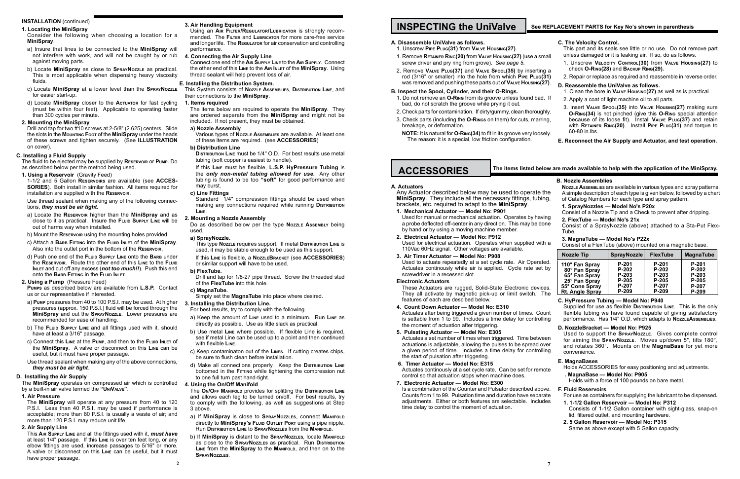#### **1. Locating the MiniSpray**

- Consider the following when choosing a location for a **MiniSpray**.
- a) Insure that lines to be connected to the **MiniSpray** will not interfere with work, and will not be caught by or rub against moving parts.
- b) Locate **MiniSpray** as close to **SprayNozzle** as practical. This is most applicable when dispensing heavy viscosity fluids.
- c) Locate **MiniSpray** at a lower level than the **SprayNozzle** for easier start-up.
- d) Locate **MiniSpray** closer to the **Actuator** for fast cycling (must be within four feet). Applicable to operating faster than 300 cycles per minute.

### **2. Mounting the MiniSpray**

Drill and tap for two #10 screws at 2-5/8" (2.625) centers. Slide the slots in the **Mounting Foot** of the **MiniSpray** under the heads of these screws and tighten securely. (See **ILLUSTRATION** on cover).

# **C. Installing a Fluid Supply**

The fluid to be ejected may be supplied by **Reservoir** or **Pump**. Do as described below per the method being used.

**1. Using a Reservoir** (Gravity Feed)

1-1/2 and 5 Gallon **Reservoirs** are available (see **ACCES-SORIES**). Both install in similar fashion. All items required for installation are supplied with the **Reservoir**.

Use thread sealant when making any of the following connections, *they must be air tight*.

- a) Locate the **Reservoir** higher than the **MiniSpray** and as close to it as practical. Insure the **Fluid Supply Line** will be out of harms way when installed.
- b) Mount the **Reservoir** using the mounting holes provided.
- c) Attach a **Barb Fitting** into the **Fluid Inlet** of the **MiniSpray**. Also into the outlet port in the bottom of the **Reservoir**.
- d) Push one end of the **Fluid Supply Line** onto the **Barb** under the **Reservoir**. Route the other end of this **Line** to the **Fluid Inlet** and cut off any excess (*not too much!!*). Push this end onto the **Barb Fitting** in the **Fluid Inlet**.

#### **2. Using a Pump** (Pressure Feed)

**Pumps** as described below are available from **L.S.P.** Contact us or our representative if interested.

- a) **Pump** pressures from 40 to 100 P.S.I. may be used. At higher pressures (approx. 150 P.S.I.) fluid will be forced through the **MiniSpray** and out the **SprayNozzle**. Lower pressures are recommended for ease of handling.
- b) The FLUID SUPPLY LINE and all fittings used with it, should have at least a 3/16" passage.
- c) Connect this **Line** at the **Pump**, and then to the **Fluid Inlet** of the **MiniSpray**. A valve or disconnect on this **Line** can be useful, but it must have proper passage.
- Use thread sealant when making any of the above connections, *they must be air tight*.

Standard 1/4" compression fittings should be used when making any connections required while running **Distribution Line**.

# **D. Installing the Air Supply**

The **MiniSpray** operates on compressed air which is controlled by a built-in air valve termed the **"UniValve"**.

# **1. Air Pressure**

The **MiniSpray** will operate at any pressure from 40 to 120 P.S.I. Less than 40 P.S.I. may be used if performance is acceptable; more than 80 P.S.I. is usually a waste of air; and more than 120 P.S.I. may reduce unit life.

#### **2. Air Supply Line**

This **Air Supply Line** and all the fittings used with it, *must have* at least 1/4" passage. If this **Line** is over ten feet long, or any elbow fittings are used, increase passages to 5/16" or more. A valve or disconnect on this **Line** can be useful, but it must have proper passage.

|                         | C. The Velocity Control.<br>This part and its seals see little or no use. Do not remove part<br>unless damaged or it is leaking air. If so, do as follows.                                                                                                                    |
|-------------------------|-------------------------------------------------------------------------------------------------------------------------------------------------------------------------------------------------------------------------------------------------------------------------------|
| mall<br>a פו            | 1. Unscrew VELOCITY CONTROL(30) from VALVE HOUSING(27) to<br>check O-Ring(28) and BACKUP RING(29).                                                                                                                                                                            |
| (31)                    | 2. Repair or replace as required and reassemble in reverse order.                                                                                                                                                                                                             |
| (27).                   | D. Reassemble the UniValve as follows.<br>1. Clean the bore in VALVE Housing (27) as well as is practical.                                                                                                                                                                    |
| d. If                   | 2. Apply a coat of light machine oil to all parts.                                                                                                                                                                                                                            |
| ahly.<br>ring,<br>sely. | 3. Insert VALVE SPOOL(35) into VALVE Housing(27) making sure<br>O-RING(34) is not pinched (give this O-RING special attention<br>because of its loose fit). Install VALVE PLUG(37) and retain<br>with RETAINER RING(20). Install PIPE PLUG(31) and torque to<br>60-80 in lbs. |
|                         | E. Reconnect the Air Supply and Actuator, and test operation.                                                                                                                                                                                                                 |
|                         |                                                                                                                                                                                                                                                                               |
|                         | low are made available to help with the application of the MiniSpray.                                                                                                                                                                                                         |
| the<br>ing,             | <b>B. Nozzle Assemblies</b><br>NozzLE Assembles are available in various types and spray patterns.<br>A simple description of each type is given below, followed by a chart<br>of Catalog Numbers for each type and spray pattern.                                            |

### **3. Air Handling Equipment**

Using an **Air Filter/Regulator/Lubricator** is strongly recommended. The **Filter** and **Lubricator** for more care-free service and longer life. The **Regulator** for air conservation and controlling performance.

#### **4. Connecting the Air Supply Line**

Connect one end of the **Air Supply Line** to the **Air Supply**. Connect the other end of this **Line** to the **Air Inlet** of the **MiniSpray**. Using thread sealant will help prevent loss of air.

# **E. Installing the Distribution System.**

This System consists of **Nozzle Assemblies**, **Distribution Line**, and their connections to the **MiniSpray**.

#### **1. Items required**

The items below are required to operate the **MiniSpray**. They are ordered separate from the **MiniSpray** and might not be included. If not present, they must be obtained.

#### **a) Nozzle Assembly**

- 1. Do not remove an **O-Ring** from its groove unless found bad bad, do not scratch the groove while prying it out.
- 2. Check parts for contamination. If dirty/gummy, clean thoroug
- 3. Check parts (including the **O-Rings** on them) for cuts, marring, breakage, or deformation.
- **NOTE:** It is natural for **O-RING(34)** to fit in its groove very loos The reason: it is a special, low friction configuration.

# **ACCESSORIES** The items listed be

Various types of **Nozzle Assemblies** are available. At least one of these items are required. (see **ACCESSORIES**)

#### **b) Distribution Line**

Any Actuator described below may be used to operate **MiniSpray**. They include all the necessary fittings, tubing, brackets, etc. required to adapt to the **MiniSpray**.

**Distribution Line** must be 1/4" O.D. For best results use metal tubing (soft copper is easiest to handle).

If this **Line** must be flexible, **L.S.P. HyPressure Tubing** is the *only non-metal tubing allowed for use.* Any other tubing is found to be too **"soft"** for good performance and may burst.

### **c) Line Fittings**

Used to actuate repeatedly at a set cycle rate. Air Operate Actuates continously while air is applied. Cycle rate set screwdriver in a recessed slot.

These Actuators are rugged, Solid-State Electronic device They all activate by magnetic pick-up or limit switch. They features of each are descibed below.

#### **2. Mounting a Nozzle Assembly**

Do as described below per the type **Nozzle Assembly** being used.

> Actuates after being triggered a given number of times. Co is settable from 1 to 99. Includes a time delay for control the moment of actuation after triggering.

#### **a) SprayNozzle.**

This type **Nozzle** requires support. If metal **Distribution Line** is used, it may be stable enough to be used as this support.

> Actuates a set number of times when triggered. Time betwe actuations is adjustable, allowing the pulses to be spread over a given period of time. Includes a time delay for controlling the start of pulsation after triggering.

If this **Line** is flexible, a **NozzleBracket** (see **ACCESSORIES**) or similar support will have to be used.

### **b) FlexTube.**

Drill and tap for 1/8-27 pipe thread. Screw the threaded stud of the **FlexTube** into this hole.

#### **c) MagnaTube.**

Simply set the **MagnaTube** into place where desired.

#### **3. Installing the Distribution Line.**

For best results, try to comply with the following.

a) Keep the amount of **Line** used to a minimum. Run **Line** as directly as possible. Use as little slack as practical.

- b) Use metal **Line** where possible. If flexible Line is required, see if metal Line can be used up to a point and then continued with flexible **Line**.
- c) Keep contaminaton out of the **Lines**. If cutting creates chips, be sure to flush clean before installation.
- d) Make all connections properly. Keep the **Distribution Line** bottomed in the **Fitting** while tightening the compression nut to one full turn past hand-tight.

#### **4. Using the On/Off Manifold**

The **On/Off Manifold** provides for splitting the **Distribution Line** and allows each leg to be turned on/off. For best results, try to comply with the following, as well as suggestions at Step 3 above.

- a) If **MiniSpray** is close to **SprayNozzles**, connect **Manifold** directly to **MiniSpray's Fluid Outlet Port** using a pipe nipple. Run **Distribution Line** to **SprayNozzles** from the **Manifold.**
- b) If **MiniSpray** is distant to the **SprayNozzles**, locate **Manifold** as close to the **SprayNozzles** as practical. Run **Distribution Line** from the **MiniSpray** to the **Manifold**, and then on to the **SprayNozzles**.

# **INSTALLATION** (continued) **1 INSPECTING the UniValve** See REPLACEMENT PARTS for Key No's shown in parenthesis

# **A. Disassemble UniValve as follows.**

- 1. Unscrew **Pipe Plug(31)** from **Valve Housing(27)**.
- 1. Remove **RETAINER RING(20)** from VALVE **Housing(27)** (use a small screw driver and pry ring from grove). *See page 5.*
- 2. Remove VALVE PLUG(37) and VALVE SPOOL(35) by inserting rod (3/16" or smaller) into the hole from which **PIPE PLUG** was removed and pushing these parts out of **Valve Housing(27)**.

#### **B. Inspect the Spool, Cylinder, and their O-Rings.**

### **A. Actuators**

# **1. Mechanical Actuator — Model No: P901**

Used for manual or mechanical actuation. Operates by having a probe deflected off-center in any direction. This may be done by hand or by using a moving machine member.

# **2. Electrical Actuator — Model No: P912**

Used for electrical actuation. Operates when supplied with a 110Vac 60Hz signal. Other voltages are available.

# **3. Air Timer Actuator — Model No: P908**

#### **Electronic Actuators**

#### **4. Count Down Actuator — Model No: E310**

### **5. Pulsating Actuator — Model No: E305**

#### **6. Timer Actuator — Model No: E315**

Actuates continously at a set cycle rate. Can be set for remote control so that actuation stops when machine does.

#### **7. Electronic Actuator — Model No: E300**

Is a combination of the Counter and Pulsator described above. Counts from 1 to 99. Pulsation time and duration have separate adjustments. Either or both features are selectable. Includes time delay to control the moment of actuation.

- **1. SprayNozzles Model No's P20x** Consist of a Nozzle Tip and a Check to prevent after dripping. **2. FlexTube — Model No's 21x** Consist of a SprayNozzle (above) attached to a Sta-Put Flex-
- Tube. **3. MagnaTube — Model No's P22x**
- Consist of a FlexTube (above) mounted on a magnetic base.

|          | <b>Nozzle Tip</b>               | <b>SprayNozzle</b> | <b>FlexTube</b>    | <b>MagnaTube</b>   |
|----------|---------------------------------|--------------------|--------------------|--------------------|
| d.<br>by | 110° Fan Spray<br>80° Fan Spray | $P-201$<br>$P-202$ | $P-201$<br>$P-202$ | $P-201$<br>$P-202$ |
|          | 65° Fan Spray                   | $P-203$            | P-203              | P-203              |
| S.       | 25° Fan Spray<br>55° Cone Spray | $P-205$<br>P-207   | P-205<br>P-207     | $P-205$<br>P-207   |
| he       | <b>Rt. Angle Spray</b>          | $P-209$            | P-209              | P-209              |

|       | C. HyPressure Tubing — Model No: P940                                                         |  |  |  |
|-------|-----------------------------------------------------------------------------------------------|--|--|--|
|       | Supplied for use as flexible <b>D</b> ISTRIBUTION LINE. This is the only                      |  |  |  |
| วunt  | flexible tubing we have found capable of giving satisfactory                                  |  |  |  |
| lling | performance. Has 1/4" O.D. which adapts to NozzLEAssEMBLIES.                                  |  |  |  |
|       | D. NozzleBracket - Model No: P925                                                             |  |  |  |
|       | Used to support the <b>SPRAYNOZZLE.</b> Gives complete control                                |  |  |  |
| een   | for aiming the $S_{\text{DDAYN}}$ $\sigma$ $\bar{z}$ is Moves un/down 5" tilts 180 $^{\circ}$ |  |  |  |

for aiming the **SprayNozzle**. Moves up/down 5", tilts 180°, and rotates 360°. Mounts on the **MagnaBase** for yet more convenience.

#### **E. MagnaBases**

Holds ACCESSORIES for easy positioning and adjustments.

#### **. MagnaBase — Model No: P905**

Holds with a force of 100 pounds on bare metal.

#### **F. Fluid Reservoirs**

For use as containers for supplying the lubricant to be dispensed**.**

- **1. 1-1/2 Gallon Reservoir Model No: P312** Consists of 1-1/2 Gallon container with sight-glass, snap-on lid, filtered outlet, and mounting hardware.
- **2. 5 Gallon Reservoir Model No: P315** Same as above except with 5 Gallon capacity.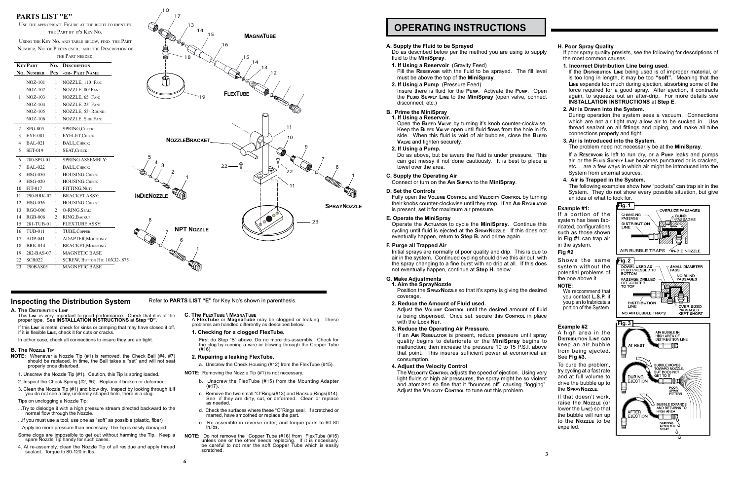#### **Example #1:**

If a portion of the system has been fabricated, configurations such as those shown in **Fig #1** can trap air in the system.

Shows the same system without the potential problems of the one above it.

#### **Fig #2**

#### **NOTE:**

We reccommend that you contact **L.S.P.** if you plan to frabricate a portion of the System.

#### **Example #2**

A high area in the **Distribution Line** can keep an air bubble from being ejected. See **Fig #3**.

Insure there is fluid for the **Pump**. Activate the **Pump**. Open the **Fluid Supply Line** to the **MiniSpray** (open valve, connect disconnect, etc.)

> To cure the problem, try cycling at a fast rate and at full volume to drive the bubble up to the **SprayNozzle**.

If that doesn't work, raise the **Nozzle** (or lower the **Line**) so that the bubble will run up to the **Nozzle** to be expelled.

#### **A. Supply the Fluid to be Sprayed**

Do as described below per the method you are using to supply fluid to the **MiniSpray**.

**1. If Using a Reservoir** (Gravity Feed)

Fill the **Reservoir** with the fluid to be sprayed. The fill level must be above the top of the **MiniSpray**.

**2. If Using a Pump** (Pressure Feed)

# **B. Prime the MiniSpray**

**1. If Using a Reservoir.** Open the **Bleed Valve** by turning it's knob counter-clockwise. Keep the **Bleed Valve** open until fluid flows from the hole in it's

Adjust the **VOLUME CONTROL** until the desired amount of fluid is being dispensed. Once set, secure this **CONTROL** in place with the **Lock Nut**.

side. When this fluid is void of air bubbles, close the **Bleed Valve** and tighten securely.

# **2. If Using a Pump.**

The **Velocity Control** adjusts the speed of ejection. Using very light fluids or high air pressures, the spray might be so violent and atomized so fine that it "bounces off" causing "fogging". Adjust the **VELOCITY CONTROL** to tune out this problem.

Do as above, but be aware the fluid is under pressure. This can get messy if not done cautiously. It is best to place a towel over the area.

#### **C. Supply the Operating Air**

Connect or turn on the **Air Supply** to the **MiniSpray**.

#### **D. Set the Controls**

Fully open the **Volume Control** and **Velocity Control** by turning their knobs counter-clockwise until they stop. If an **Air Regulator** is present, set it for maximum air pressure.

# **E. Operate the MiniSpray**

Operate the **Actuator** to cycle the **MiniSpray**. Continue this cycling until fluid is ejected at the **SprayNozzle**. If this does not eventually happen, return to **Step B.** and prime again.

#### **F. Purge all Trapped Air**

Initial sprays are normally of poor quality and drip. This is due to air in the system. Continued cycling should drive this air out, with the spray changing to a fine burst with no drip at all. If this does not eventually happen, continue at **Step H.** below.

# **G. Make Adjustments**

**1. Aim the SprayNozzle**

Position the **SprayNozzle** so that it's spray is giving the desired coverage.

#### **2. Reduce the Amount of Fluid used.**

#### **3. Reduce the Operating Air Pressure.**

- ...Try to dislodge it with a high pressure stream directed backward to the normal flow through the Nozzle.
- ...If you must use a tool, use one as "soft" as possible (plastic, fiber)
- ...Apply no more pressure than necessary. The Tip is easily damaged. Some clogs are impossible to get out without harming the Tip. Keep a spare Nozzle Tip handy for such cases.
- 4. At re-assembly, clean the Nozzle Tip of all residue and apply thread sealant. Torque to 80-120 in.lbs.

If an **Air Regulator** is present, reduce pressure until spray quality begins to deteriorate or the **MiniSpray** begins to malfunction; then increase the pressure 10 to 15 P.S.I. above that point. This insures sufficient power at economical air consumption.

#### **4. Adjust the Velocity Control**

#### **H. Poor Spray Quality**

If poor spray quality presists, see the following for descriptions of the most common causes.

#### **1. Incorrect Distribution Line being used.**

If the **Distribution Line** being used is of improper material, or is too long in length, it may be too **"soft".** Meaning that the **Line** expands too much during ejection, absorbing some of the force required for a good spray. After ejection, it contracts again, to squeeze out an after-drip. For more details see **INSTALLATION INSTRUCTIONS** at **Step E**.

### **2. Air is Drawn into the System.**

During operation the system sees a vacuum. Connections which are not air tight may allow air to be sucked in. Use thread sealant on all fittings and piping, and make all tube connections properly and tight.

### **3. Air is Introduced into the System.**

#### The problem need not necessarily be at the **MiniSpray**.

If a **Reservoir** is left to run dry, or a **Pump** leaks and pumps air, or the **Fluid Supply Line** becomes punctured or is cracked, etc.... are a few ways in which air might be introduced into the System from external sources.

# **4. Air is Trapped in the System.**

The following examples show how "pockets" can trap air in the System. They do not show every possible situation, but give an idea of what to look for.

# **OPERATING INSTRUCTIONS**

- **A. The Distribution Line**
- This **Line** is very important to good performance. Check that it is of the proper type. See **INSTALLATION INSTRUCTIONS** at **Step "D"**.

If this **Line** is metal, check for kinks or crimping that may have closed it off. If it is flexible **Line**, check it for cuts or cracks.

In either case, check all connections to insure they are air tight.

#### **B. The Nozzle Tip**

- **NOTE:** Whenever a Nozzle Tip (#1) is removed, the Check Ball (#4, #7) should be replaced. In time, the Ball takes a "set" and will not seat properly once disturbed.
- 1. Unscrew the Nozzle Tip (#1). Caution, this Tip is spring loaded.
- 2. Inspect the Check Spring (#2, #6). Replace if broken or deformed.
- 3. Clean the Nozzle Tip (#1) and blow dry. Inspect by looking through it.If you do not see a tiny, uniformly shaped hole, there is a clog.

Tips on unclogging a Nozzle Tip:

**C. The FlexTube \ MagnaTube** A **FlexTube** or **MagnaTube** may be clogged or leaking. These problems are handled differently as described below.

#### **1. Checking for a clogged FlexTube.**

First do Step "B" above. Do no more dis-assembly. Check for the clog by running a wire or blowing through the Copper Tube (#16).

#### **2. Repairing a leaking FlexTube.**

a. Unscrew the Check Housing (#12) from the FlexTube (#15).

- **NOTE:** Removing the Nozzle Tip (#1) is not necessary.
	- b. Unscrew the FlexTube (#15) from the Mounting Adapter (#17).
	- c. Remove the two small "O"Rings(#13) and Backup Rings(#14). See if they are dirty, cut, or deformed. Clean or replace as needed.
	- d. Check the surfaces where these "O"Rings seal. If scratched or marred, have smoothed or replace the part.
	- e. Re-assemble in reverse order, and torque parts to 60-80 in.lbs.
- **NOTE:** Do not remove the Copper Tube (#16) from FlexTube (#15) unless one or the other needs replacing. If it is necessary, be careful to not mar the soft Copper Tube which is easily scratched.



# **PARTS LIST "E"**

Use the appropriate Figure at the right to identify the Part by it's Key No.

Using the Key No. and table below, find the Part Number, No. of Pieces used, and the Description of the Part needed.

| <b>KEYPART</b> |                | No.            | <b>DESCRIPTION</b>           |
|----------------|----------------|----------------|------------------------------|
|                | No. NUMBER     | $P_{CS}$       | -OR- PART NAME               |
|                | <b>NOZ-101</b> | 1              | NOZZLE, 110° FAN:            |
|                | <b>NOZ-102</b> | 1              | NOZZLE, 80°FAN:              |
| 1              | $NOZ-103$      | 1              | NOZZLE, 65° FAN:             |
|                | $NOZ-104$      | 1              | NOZZLE, 25° FAN:             |
|                | $NOZ-105$      | 1              | NOZZLE, 55° ROUND:           |
|                | $NOZ-106$      | 1              | NOZZLE, SIDE FAN:            |
| 2              | <b>SPG-005</b> | 1              | SPRING, CHECK:               |
| 3              | <b>EYE-001</b> | 1              | <b>EYELET, CHECK</b>         |
| 4              | <b>BAL-021</b> | 1              | <b>BALL, CHECK:</b>          |
| 5              | <b>SET-019</b> | 1              | SEAT, CHECK:                 |
| 6              | 280-SPG-01     | 1              | <b>SPRING ASSEMBLY:</b>      |
| 7              | <b>BAL-022</b> | 1              | <b>BALL, CHECK:</b>          |
| 8              | <b>HSG-050</b> | 1              | HOUSING, CHECK               |
| 9              | <b>HSG-020</b> | 1              | HOUSING, CHECK               |
| 10             | FIT-017        | 1              | FITTING, NUT:                |
| 11             | 290-BRK-02     | 1              | <b>BRACKET ASSY:</b>         |
| 12             | <b>HSG-036</b> | 1              | HOUSING, CHECK:              |
| 13             | <b>RGO-006</b> | 2              | O-RING, SEAL:                |
| 14             | <b>RGB-006</b> | $\overline{c}$ | RING, BACKUP:                |
| 15             | 281-TUB-01     | 1              | <b>FLEXTUBE ASSY:</b>        |
| 16             | <b>TUB-011</b> | 1              | TUBE, COPPER:                |
| 17             | $ADP-041$      | 1              | <b>ADAPTER, MOUNTING:</b>    |
| 18             | <b>BRK-014</b> | 1              | <b>BRACKET, MOUNTING</b>     |
| 19             | 282-BAS-07     | 1              | <b>MAGNETIC BASE</b>         |
| 22             | <b>SCR022</b>  | 1              | SCREW, BUTTON HD: 10X32-.875 |
| 23             | 290BAS05       | 1              | <b>MAGNETIC BASE</b>         |



# **Inspecting the Distribution System Refer to PARTS LIST "E" for Key No's shown in parenthesis.**